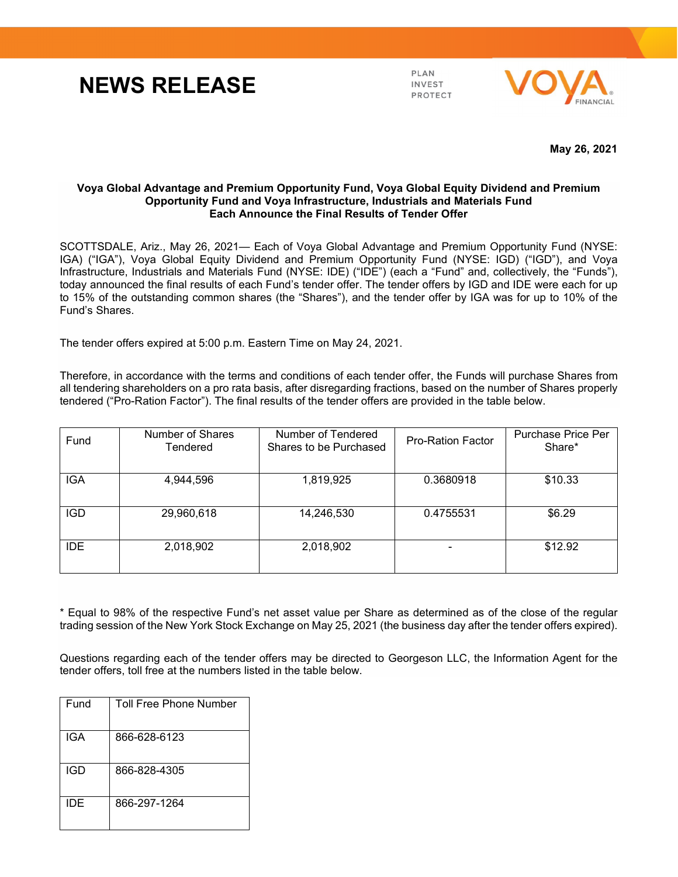## **NEWS RELEASE**

PLAN **INVEST PROTECT** 



**May 26, 2021**

## **Voya Global Advantage and Premium Opportunity Fund, Voya Global Equity Dividend and Premium Opportunity Fund and Voya Infrastructure, Industrials and Materials Fund Each Announce the Final Results of Tender Offer**

SCOTTSDALE, Ariz., May 26, 2021— Each of Voya Global Advantage and Premium Opportunity Fund (NYSE: IGA) ("IGA"), Voya Global Equity Dividend and Premium Opportunity Fund (NYSE: IGD) ("IGD"), and Voya Infrastructure, Industrials and Materials Fund (NYSE: IDE) ("IDE") (each a "Fund" and, collectively, the "Funds"), today announced the final results of each Fund's tender offer. The tender offers by IGD and IDE were each for up to 15% of the outstanding common shares (the "Shares"), and the tender offer by IGA was for up to 10% of the Fund's Shares.

The tender offers expired at 5:00 p.m. Eastern Time on May 24, 2021.

Therefore, in accordance with the terms and conditions of each tender offer, the Funds will purchase Shares from all tendering shareholders on a pro rata basis, after disregarding fractions, based on the number of Shares properly tendered ("Pro-Ration Factor"). The final results of the tender offers are provided in the table below.

| Fund       | Number of Shares<br>Tendered | Number of Tendered<br>Shares to be Purchased | <b>Pro-Ration Factor</b> | Purchase Price Per<br>Share* |
|------------|------------------------------|----------------------------------------------|--------------------------|------------------------------|
| <b>IGA</b> | 4,944,596                    | 1,819,925                                    | 0.3680918                | \$10.33                      |
| <b>IGD</b> | 29,960,618                   | 14,246,530                                   | 0.4755531                | \$6.29                       |
| <b>IDE</b> | 2,018,902                    | 2,018,902                                    |                          | \$12.92                      |

\* Equal to 98% of the respective Fund's net asset value per Share as determined as of the close of the regular trading session of the New York Stock Exchange on May 25, 2021 (the business day after the tender offers expired).

Questions regarding each of the tender offers may be directed to Georgeson LLC, the Information Agent for the tender offers, toll free at the numbers listed in the table below.

| Fund | Toll Free Phone Number |
|------|------------------------|
| IGA  | 866-628-6123           |
| IGD  | 866-828-4305           |
| IDE  | 866-297-1264           |